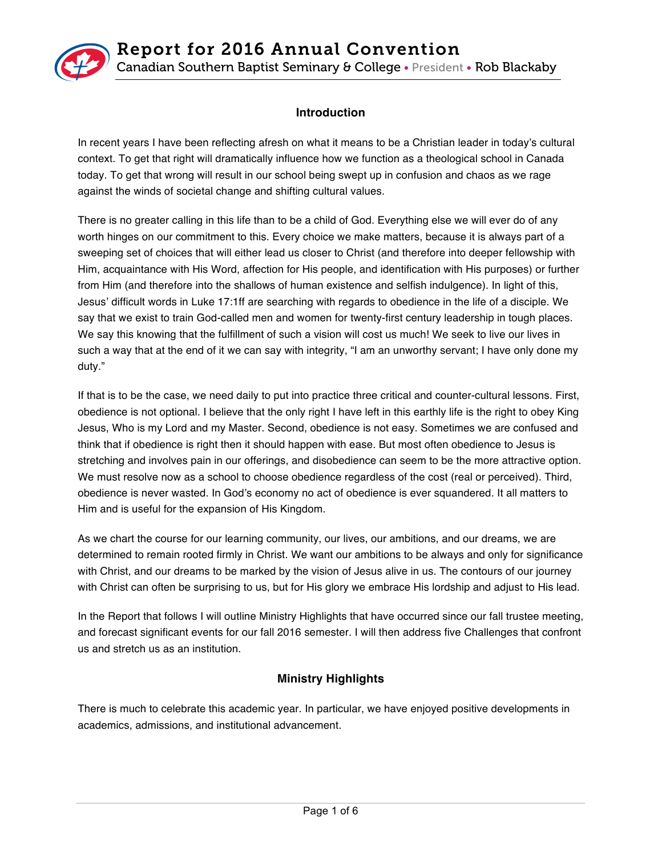

# **Introduction**

In recent years I have been reflecting afresh on what it means to be a Christian leader in today's cultural context. To get that right will dramatically influence how we function as a theological school in Canada today. To get that wrong will result in our school being swept up in confusion and chaos as we rage against the winds of societal change and shifting cultural values.

There is no greater calling in this life than to be a child of God. Everything else we will ever do of any worth hinges on our commitment to this. Every choice we make matters, because it is always part of a sweeping set of choices that will either lead us closer to Christ (and therefore into deeper fellowship with Him, acquaintance with His Word, affection for His people, and identification with His purposes) or further from Him (and therefore into the shallows of human existence and selfish indulgence). In light of this, Jesus' difficult words in Luke 17:1ff are searching with regards to obedience in the life of a disciple. We say that we exist to train God-called men and women for twenty-first century leadership in tough places. We say this knowing that the fulfillment of such a vision will cost us much! We seek to live our lives in such a way that at the end of it we can say with integrity, "I am an unworthy servant; I have only done my duty."

If that is to be the case, we need daily to put into practice three critical and counter-cultural lessons. First, obedience is not optional. I believe that the only right I have left in this earthly life is the right to obey King Jesus, Who is my Lord and my Master. Second, obedience is not easy. Sometimes we are confused and think that if obedience is right then it should happen with ease. But most often obedience to Jesus is stretching and involves pain in our offerings, and disobedience can seem to be the more attractive option. We must resolve now as a school to choose obedience regardless of the cost (real or perceived). Third, obedience is never wasted. In God's economy no act of obedience is ever squandered. It all matters to Him and is useful for the expansion of His Kingdom.

As we chart the course for our learning community, our lives, our ambitions, and our dreams, we are determined to remain rooted firmly in Christ. We want our ambitions to be always and only for significance with Christ, and our dreams to be marked by the vision of Jesus alive in us. The contours of our journey with Christ can often be surprising to us, but for His glory we embrace His lordship and adjust to His lead.

In the Report that follows I will outline Ministry Highlights that have occurred since our fall trustee meeting, and forecast significant events for our fall 2016 semester. I will then address five Challenges that confront us and stretch us as an institution.

# **Ministry Highlights**

There is much to celebrate this academic year. In particular, we have enjoyed positive developments in academics, admissions, and institutional advancement.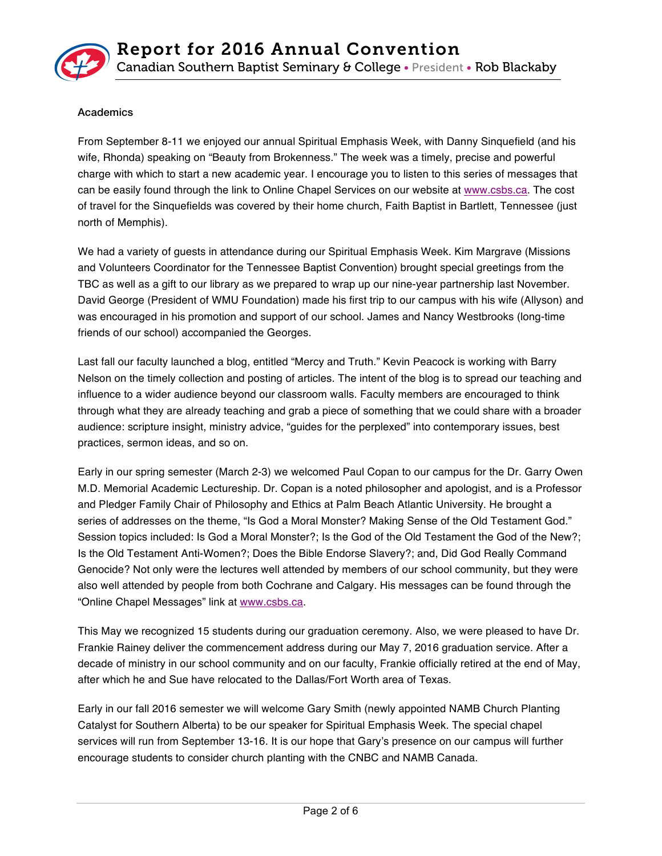

# Academics

From September 8-11 we enjoyed our annual Spiritual Emphasis Week, with Danny Sinquefield (and his wife, Rhonda) speaking on "Beauty from Brokenness." The week was a timely, precise and powerful charge with which to start a new academic year. I encourage you to listen to this series of messages that can be easily found through the link to Online Chapel Services on our website at www.csbs.ca. The cost of travel for the Sinquefields was covered by their home church, Faith Baptist in Bartlett, Tennessee (just north of Memphis).

We had a variety of guests in attendance during our Spiritual Emphasis Week. Kim Margrave (Missions and Volunteers Coordinator for the Tennessee Baptist Convention) brought special greetings from the TBC as well as a gift to our library as we prepared to wrap up our nine-year partnership last November. David George (President of WMU Foundation) made his first trip to our campus with his wife (Allyson) and was encouraged in his promotion and support of our school. James and Nancy Westbrooks (long-time friends of our school) accompanied the Georges.

Last fall our faculty launched a blog, entitled "Mercy and Truth." Kevin Peacock is working with Barry Nelson on the timely collection and posting of articles. The intent of the blog is to spread our teaching and influence to a wider audience beyond our classroom walls. Faculty members are encouraged to think through what they are already teaching and grab a piece of something that we could share with a broader audience: scripture insight, ministry advice, "guides for the perplexed" into contemporary issues, best practices, sermon ideas, and so on.

Early in our spring semester (March 2-3) we welcomed Paul Copan to our campus for the Dr. Garry Owen M.D. Memorial Academic Lectureship. Dr. Copan is a noted philosopher and apologist, and is a Professor and Pledger Family Chair of Philosophy and Ethics at Palm Beach Atlantic University. He brought a series of addresses on the theme, "Is God a Moral Monster? Making Sense of the Old Testament God." Session topics included: Is God a Moral Monster?; Is the God of the Old Testament the God of the New?; Is the Old Testament Anti-Women?; Does the Bible Endorse Slavery?; and, Did God Really Command Genocide? Not only were the lectures well attended by members of our school community, but they were also well attended by people from both Cochrane and Calgary. His messages can be found through the "Online Chapel Messages" link at www.csbs.ca.

This May we recognized 15 students during our graduation ceremony. Also, we were pleased to have Dr. Frankie Rainey deliver the commencement address during our May 7, 2016 graduation service. After a decade of ministry in our school community and on our faculty, Frankie officially retired at the end of May, after which he and Sue have relocated to the Dallas/Fort Worth area of Texas.

Early in our fall 2016 semester we will welcome Gary Smith (newly appointed NAMB Church Planting Catalyst for Southern Alberta) to be our speaker for Spiritual Emphasis Week. The special chapel services will run from September 13-16. It is our hope that Gary's presence on our campus will further encourage students to consider church planting with the CNBC and NAMB Canada.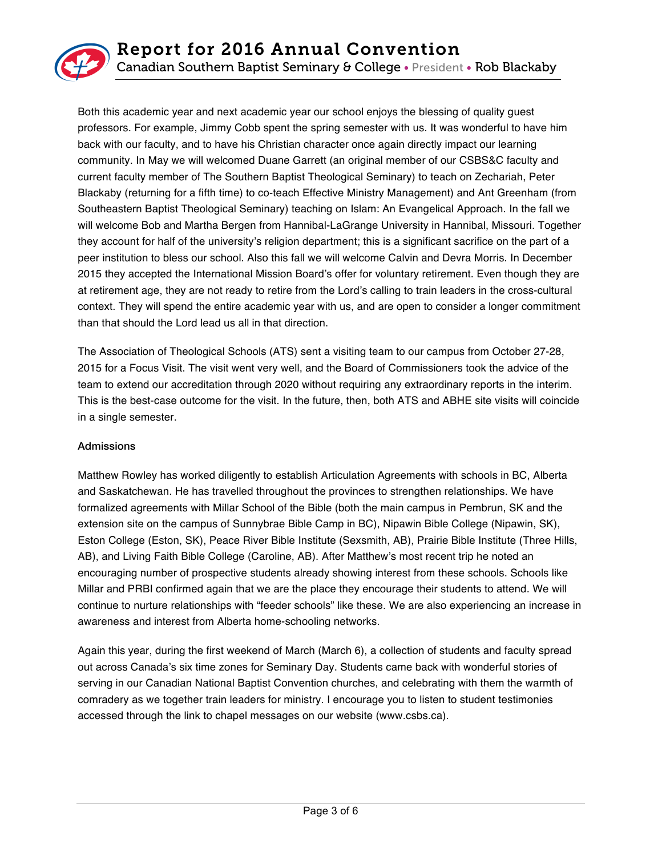

Both this academic year and next academic year our school enjoys the blessing of quality guest professors. For example, Jimmy Cobb spent the spring semester with us. It was wonderful to have him back with our faculty, and to have his Christian character once again directly impact our learning community. In May we will welcomed Duane Garrett (an original member of our CSBS&C faculty and current faculty member of The Southern Baptist Theological Seminary) to teach on Zechariah, Peter Blackaby (returning for a fifth time) to co-teach Effective Ministry Management) and Ant Greenham (from Southeastern Baptist Theological Seminary) teaching on Islam: An Evangelical Approach. In the fall we will welcome Bob and Martha Bergen from Hannibal-LaGrange University in Hannibal, Missouri. Together they account for half of the university's religion department; this is a significant sacrifice on the part of a peer institution to bless our school. Also this fall we will welcome Calvin and Devra Morris. In December 2015 they accepted the International Mission Board's offer for voluntary retirement. Even though they are at retirement age, they are not ready to retire from the Lord's calling to train leaders in the cross-cultural context. They will spend the entire academic year with us, and are open to consider a longer commitment than that should the Lord lead us all in that direction.

The Association of Theological Schools (ATS) sent a visiting team to our campus from October 27-28, 2015 for a Focus Visit. The visit went very well, and the Board of Commissioners took the advice of the team to extend our accreditation through 2020 without requiring any extraordinary reports in the interim. This is the best-case outcome for the visit. In the future, then, both ATS and ABHE site visits will coincide in a single semester.

#### Admissions

Matthew Rowley has worked diligently to establish Articulation Agreements with schools in BC, Alberta and Saskatchewan. He has travelled throughout the provinces to strengthen relationships. We have formalized agreements with Millar School of the Bible (both the main campus in Pembrun, SK and the extension site on the campus of Sunnybrae Bible Camp in BC), Nipawin Bible College (Nipawin, SK), Eston College (Eston, SK), Peace River Bible Institute (Sexsmith, AB), Prairie Bible Institute (Three Hills, AB), and Living Faith Bible College (Caroline, AB). After Matthew's most recent trip he noted an encouraging number of prospective students already showing interest from these schools. Schools like Millar and PRBI confirmed again that we are the place they encourage their students to attend. We will continue to nurture relationships with "feeder schools" like these. We are also experiencing an increase in awareness and interest from Alberta home-schooling networks.

Again this year, during the first weekend of March (March 6), a collection of students and faculty spread out across Canada's six time zones for Seminary Day. Students came back with wonderful stories of serving in our Canadian National Baptist Convention churches, and celebrating with them the warmth of comradery as we together train leaders for ministry. I encourage you to listen to student testimonies accessed through the link to chapel messages on our website (www.csbs.ca).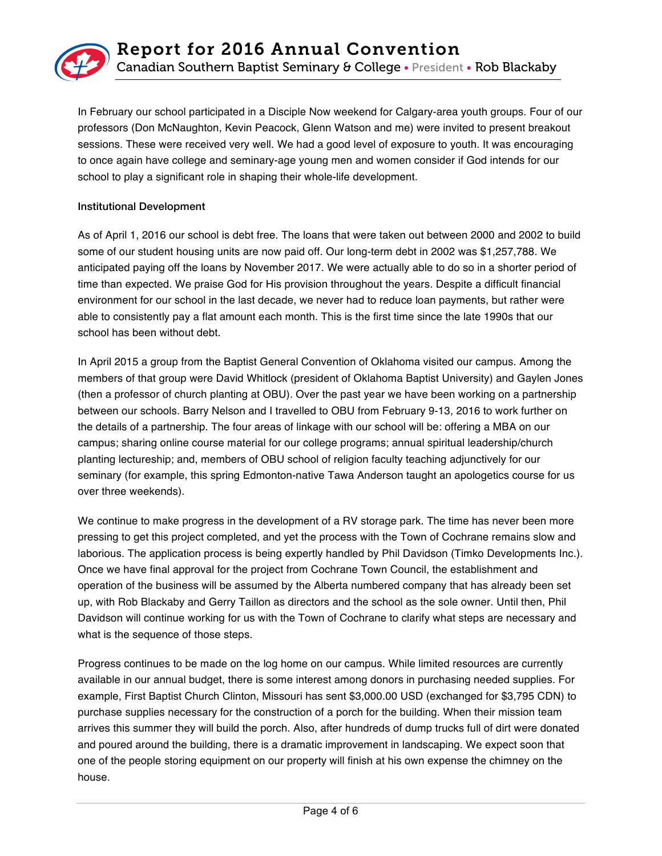

In February our school participated in a Disciple Now weekend for Calgary-area youth groups. Four of our professors (Don McNaughton, Kevin Peacock, Glenn Watson and me) were invited to present breakout sessions. These were received very well. We had a good level of exposure to youth. It was encouraging to once again have college and seminary-age young men and women consider if God intends for our school to play a significant role in shaping their whole-life development.

#### Institutional Development

As of April 1, 2016 our school is debt free. The loans that were taken out between 2000 and 2002 to build some of our student housing units are now paid off. Our long-term debt in 2002 was \$1,257,788. We anticipated paying off the loans by November 2017. We were actually able to do so in a shorter period of time than expected. We praise God for His provision throughout the years. Despite a difficult financial environment for our school in the last decade, we never had to reduce loan payments, but rather were able to consistently pay a flat amount each month. This is the first time since the late 1990s that our school has been without debt.

In April 2015 a group from the Baptist General Convention of Oklahoma visited our campus. Among the members of that group were David Whitlock (president of Oklahoma Baptist University) and Gaylen Jones (then a professor of church planting at OBU). Over the past year we have been working on a partnership between our schools. Barry Nelson and I travelled to OBU from February 9-13, 2016 to work further on the details of a partnership. The four areas of linkage with our school will be: offering a MBA on our campus; sharing online course material for our college programs; annual spiritual leadership/church planting lectureship; and, members of OBU school of religion faculty teaching adjunctively for our seminary (for example, this spring Edmonton-native Tawa Anderson taught an apologetics course for us over three weekends).

We continue to make progress in the development of a RV storage park. The time has never been more pressing to get this project completed, and yet the process with the Town of Cochrane remains slow and laborious. The application process is being expertly handled by Phil Davidson (Timko Developments Inc.). Once we have final approval for the project from Cochrane Town Council, the establishment and operation of the business will be assumed by the Alberta numbered company that has already been set up, with Rob Blackaby and Gerry Taillon as directors and the school as the sole owner. Until then, Phil Davidson will continue working for us with the Town of Cochrane to clarify what steps are necessary and what is the sequence of those steps.

Progress continues to be made on the log home on our campus. While limited resources are currently available in our annual budget, there is some interest among donors in purchasing needed supplies. For example, First Baptist Church Clinton, Missouri has sent \$3,000.00 USD (exchanged for \$3,795 CDN) to purchase supplies necessary for the construction of a porch for the building. When their mission team arrives this summer they will build the porch. Also, after hundreds of dump trucks full of dirt were donated and poured around the building, there is a dramatic improvement in landscaping. We expect soon that one of the people storing equipment on our property will finish at his own expense the chimney on the house.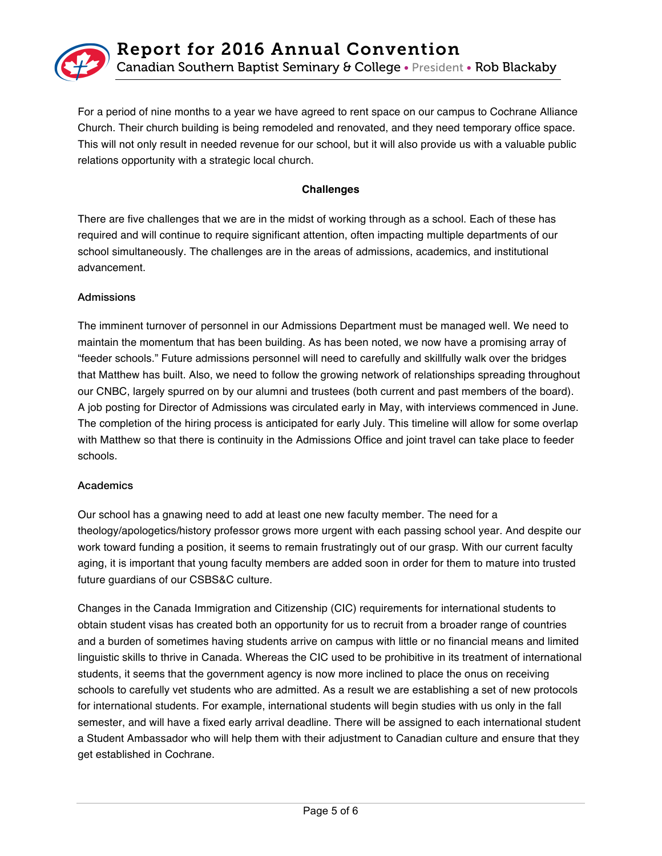

For a period of nine months to a year we have agreed to rent space on our campus to Cochrane Alliance Church. Their church building is being remodeled and renovated, and they need temporary office space. This will not only result in needed revenue for our school, but it will also provide us with a valuable public relations opportunity with a strategic local church.

## **Challenges**

There are five challenges that we are in the midst of working through as a school. Each of these has required and will continue to require significant attention, often impacting multiple departments of our school simultaneously. The challenges are in the areas of admissions, academics, and institutional advancement.

#### Admissions

The imminent turnover of personnel in our Admissions Department must be managed well. We need to maintain the momentum that has been building. As has been noted, we now have a promising array of "feeder schools." Future admissions personnel will need to carefully and skillfully walk over the bridges that Matthew has built. Also, we need to follow the growing network of relationships spreading throughout our CNBC, largely spurred on by our alumni and trustees (both current and past members of the board). A job posting for Director of Admissions was circulated early in May, with interviews commenced in June. The completion of the hiring process is anticipated for early July. This timeline will allow for some overlap with Matthew so that there is continuity in the Admissions Office and joint travel can take place to feeder schools.

#### Academics

Our school has a gnawing need to add at least one new faculty member. The need for a theology/apologetics/history professor grows more urgent with each passing school year. And despite our work toward funding a position, it seems to remain frustratingly out of our grasp. With our current faculty aging, it is important that young faculty members are added soon in order for them to mature into trusted future guardians of our CSBS&C culture.

Changes in the Canada Immigration and Citizenship (CIC) requirements for international students to obtain student visas has created both an opportunity for us to recruit from a broader range of countries and a burden of sometimes having students arrive on campus with little or no financial means and limited linguistic skills to thrive in Canada. Whereas the CIC used to be prohibitive in its treatment of international students, it seems that the government agency is now more inclined to place the onus on receiving schools to carefully vet students who are admitted. As a result we are establishing a set of new protocols for international students. For example, international students will begin studies with us only in the fall semester, and will have a fixed early arrival deadline. There will be assigned to each international student a Student Ambassador who will help them with their adjustment to Canadian culture and ensure that they get established in Cochrane.